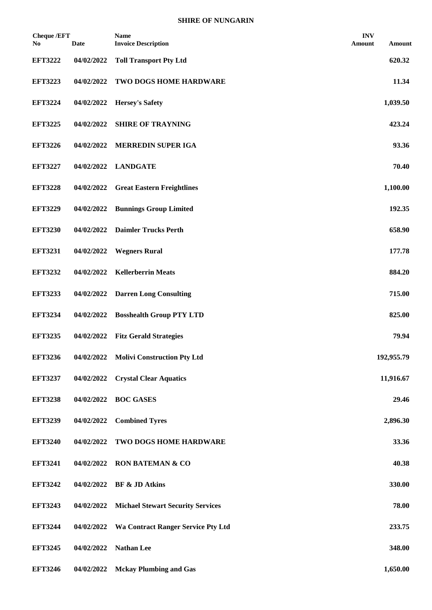| <b>Cheque /EFT</b><br>No. | <b>Date</b> | <b>Name</b><br><b>Invoice Description</b> | <b>INV</b><br>Amount | Amount     |
|---------------------------|-------------|-------------------------------------------|----------------------|------------|
| <b>EFT3222</b>            | 04/02/2022  | <b>Toll Transport Pty Ltd</b>             |                      | 620.32     |
| <b>EFT3223</b>            | 04/02/2022  | TWO DOGS HOME HARDWARE                    |                      | 11.34      |
| <b>EFT3224</b>            | 04/02/2022  | <b>Hersey's Safety</b>                    |                      | 1,039.50   |
| <b>EFT3225</b>            | 04/02/2022  | <b>SHIRE OF TRAYNING</b>                  |                      | 423.24     |
| <b>EFT3226</b>            | 04/02/2022  | <b>MERREDIN SUPER IGA</b>                 |                      | 93.36      |
| <b>EFT3227</b>            | 04/02/2022  | <b>LANDGATE</b>                           |                      | 70.40      |
| <b>EFT3228</b>            | 04/02/2022  | <b>Great Eastern Freightlines</b>         |                      | 1,100.00   |
| <b>EFT3229</b>            | 04/02/2022  | <b>Bunnings Group Limited</b>             |                      | 192.35     |
| <b>EFT3230</b>            | 04/02/2022  | <b>Daimler Trucks Perth</b>               |                      | 658.90     |
| <b>EFT3231</b>            | 04/02/2022  | <b>Wegners Rural</b>                      |                      | 177.78     |
| <b>EFT3232</b>            | 04/02/2022  | <b>Kellerberrin Meats</b>                 |                      | 884.20     |
| <b>EFT3233</b>            | 04/02/2022  | <b>Darren Long Consulting</b>             |                      | 715.00     |
| <b>EFT3234</b>            | 04/02/2022  | <b>Bosshealth Group PTY LTD</b>           |                      | 825.00     |
| <b>EFT3235</b>            | 04/02/2022  | <b>Fitz Gerald Strategies</b>             |                      | 79.94      |
| <b>EFT3236</b>            | 04/02/2022  | <b>Molivi Construction Pty Ltd</b>        |                      | 192,955.79 |
| <b>EFT3237</b>            | 04/02/2022  | <b>Crystal Clear Aquatics</b>             |                      | 11,916.67  |
| <b>EFT3238</b>            | 04/02/2022  | <b>BOC GASES</b>                          |                      | 29.46      |
| <b>EFT3239</b>            | 04/02/2022  | <b>Combined Tyres</b>                     |                      | 2,896.30   |
| <b>EFT3240</b>            | 04/02/2022  | TWO DOGS HOME HARDWARE                    |                      | 33.36      |
| <b>EFT3241</b>            | 04/02/2022  | <b>RON BATEMAN &amp; CO</b>               |                      | 40.38      |
| <b>EFT3242</b>            | 04/02/2022  | <b>BF &amp; JD Atkins</b>                 |                      | 330.00     |
| <b>EFT3243</b>            | 04/02/2022  | <b>Michael Stewart Security Services</b>  |                      | 78.00      |
| <b>EFT3244</b>            | 04/02/2022  | <b>Wa Contract Ranger Service Pty Ltd</b> |                      | 233.75     |
| <b>EFT3245</b>            | 04/02/2022  | <b>Nathan Lee</b>                         |                      | 348.00     |
| <b>EFT3246</b>            | 04/02/2022  | <b>Mckay Plumbing and Gas</b>             |                      | 1,650.00   |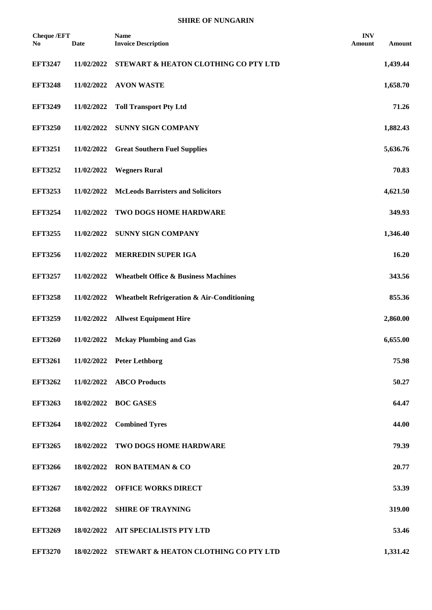| <b>Cheque /EFT</b><br>No. | <b>Date</b> | <b>Name</b><br><b>Invoice Description</b>             | <b>INV</b><br>Amount | Amount   |
|---------------------------|-------------|-------------------------------------------------------|----------------------|----------|
| <b>EFT3247</b>            | 11/02/2022  | STEWART & HEATON CLOTHING CO PTY LTD                  |                      | 1,439.44 |
| <b>EFT3248</b>            | 11/02/2022  | <b>AVON WASTE</b>                                     |                      | 1,658.70 |
| <b>EFT3249</b>            | 11/02/2022  | <b>Toll Transport Pty Ltd</b>                         |                      | 71.26    |
| <b>EFT3250</b>            | 11/02/2022  | <b>SUNNY SIGN COMPANY</b>                             |                      | 1,882.43 |
| <b>EFT3251</b>            | 11/02/2022  | <b>Great Southern Fuel Supplies</b>                   |                      | 5,636.76 |
| <b>EFT3252</b>            | 11/02/2022  | <b>Wegners Rural</b>                                  |                      | 70.83    |
| <b>EFT3253</b>            | 11/02/2022  | <b>McLeods Barristers and Solicitors</b>              |                      | 4,621.50 |
| <b>EFT3254</b>            | 11/02/2022  | TWO DOGS HOME HARDWARE                                |                      | 349.93   |
| <b>EFT3255</b>            | 11/02/2022  | <b>SUNNY SIGN COMPANY</b>                             |                      | 1,346.40 |
| <b>EFT3256</b>            | 11/02/2022  | MERREDIN SUPER IGA                                    |                      | 16.20    |
| <b>EFT3257</b>            | 11/02/2022  | <b>Wheatbelt Office &amp; Business Machines</b>       |                      | 343.56   |
| <b>EFT3258</b>            | 11/02/2022  | <b>Wheatbelt Refrigeration &amp; Air-Conditioning</b> |                      | 855.36   |
| <b>EFT3259</b>            | 11/02/2022  | <b>Allwest Equipment Hire</b>                         |                      | 2,860.00 |
| <b>EFT3260</b>            | 11/02/2022  | <b>Mckay Plumbing and Gas</b>                         |                      | 6,655.00 |
| <b>EFT3261</b>            |             | 11/02/2022 Peter Lethborg                             |                      | 75.98    |
| <b>EFT3262</b>            | 11/02/2022  | <b>ABCO Products</b>                                  |                      | 50.27    |
| <b>EFT3263</b>            | 18/02/2022  | <b>BOC GASES</b>                                      |                      | 64.47    |
| <b>EFT3264</b>            | 18/02/2022  | <b>Combined Tyres</b>                                 |                      | 44.00    |
| <b>EFT3265</b>            | 18/02/2022  | TWO DOGS HOME HARDWARE                                |                      | 79.39    |
| <b>EFT3266</b>            | 18/02/2022  | <b>RON BATEMAN &amp; CO</b>                           |                      | 20.77    |
| <b>EFT3267</b>            | 18/02/2022  | <b>OFFICE WORKS DIRECT</b>                            |                      | 53.39    |
| <b>EFT3268</b>            | 18/02/2022  | <b>SHIRE OF TRAYNING</b>                              |                      | 319.00   |
| <b>EFT3269</b>            | 18/02/2022  | <b>AIT SPECIALISTS PTY LTD</b>                        |                      | 53.46    |
| <b>EFT3270</b>            |             | 18/02/2022 STEWART & HEATON CLOTHING CO PTY LTD       |                      | 1,331.42 |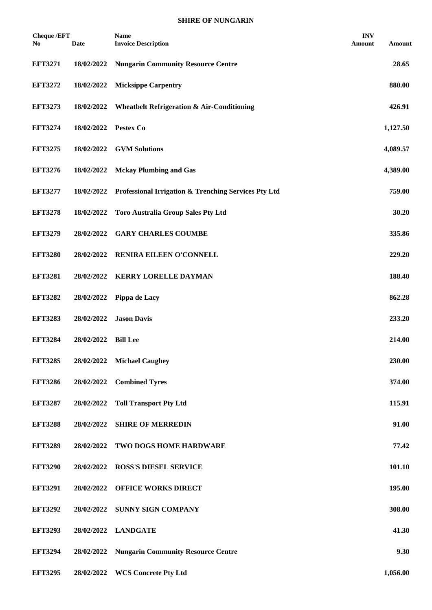| <b>Cheque /EFT</b><br>No. | <b>Date</b> | <b>Name</b><br><b>Invoice Description</b>             | <b>INV</b><br>Amount | Amount   |
|---------------------------|-------------|-------------------------------------------------------|----------------------|----------|
| <b>EFT3271</b>            | 18/02/2022  | <b>Nungarin Community Resource Centre</b>             |                      | 28.65    |
| <b>EFT3272</b>            | 18/02/2022  | <b>Micksippe Carpentry</b>                            |                      | 880.00   |
| <b>EFT3273</b>            | 18/02/2022  | <b>Wheatbelt Refrigeration &amp; Air-Conditioning</b> |                      | 426.91   |
| <b>EFT3274</b>            | 18/02/2022  | Pestex Co                                             |                      | 1,127.50 |
| <b>EFT3275</b>            | 18/02/2022  | <b>GVM Solutions</b>                                  |                      | 4,089.57 |
| <b>EFT3276</b>            | 18/02/2022  | <b>Mckay Plumbing and Gas</b>                         |                      | 4,389.00 |
| <b>EFT3277</b>            | 18/02/2022  | Professional Irrigation & Trenching Services Pty Ltd  |                      | 759.00   |
| <b>EFT3278</b>            | 18/02/2022  | <b>Toro Australia Group Sales Pty Ltd</b>             |                      | 30.20    |
| <b>EFT3279</b>            | 28/02/2022  | <b>GARY CHARLES COUMBE</b>                            |                      | 335.86   |
| <b>EFT3280</b>            | 28/02/2022  | RENIRA EILEEN O'CONNELL                               |                      | 229.20   |
| <b>EFT3281</b>            | 28/02/2022  | <b>KERRY LORELLE DAYMAN</b>                           |                      | 188.40   |
| <b>EFT3282</b>            | 28/02/2022  | Pippa de Lacy                                         |                      | 862.28   |
| <b>EFT3283</b>            | 28/02/2022  | <b>Jason Davis</b>                                    |                      | 233.20   |
| <b>EFT3284</b>            | 28/02/2022  | <b>Bill Lee</b>                                       |                      | 214.00   |
| <b>EFT3285</b>            | 28/02/2022  | <b>Michael Caughey</b>                                |                      | 230.00   |
| <b>EFT3286</b>            | 28/02/2022  | <b>Combined Tyres</b>                                 |                      | 374.00   |
| <b>EFT3287</b>            | 28/02/2022  | <b>Toll Transport Pty Ltd</b>                         |                      | 115.91   |
| <b>EFT3288</b>            | 28/02/2022  | <b>SHIRE OF MERREDIN</b>                              |                      | 91.00    |
| <b>EFT3289</b>            | 28/02/2022  | TWO DOGS HOME HARDWARE                                |                      | 77.42    |
| <b>EFT3290</b>            | 28/02/2022  | <b>ROSS'S DIESEL SERVICE</b>                          |                      | 101.10   |
| <b>EFT3291</b>            | 28/02/2022  | OFFICE WORKS DIRECT                                   |                      | 195.00   |
| <b>EFT3292</b>            | 28/02/2022  | SUNNY SIGN COMPANY                                    |                      | 308.00   |
| <b>EFT3293</b>            | 28/02/2022  | <b>LANDGATE</b>                                       |                      | 41.30    |
| <b>EFT3294</b>            | 28/02/2022  | <b>Nungarin Community Resource Centre</b>             |                      | 9.30     |
| <b>EFT3295</b>            | 28/02/2022  | <b>WCS Concrete Pty Ltd</b>                           |                      | 1,056.00 |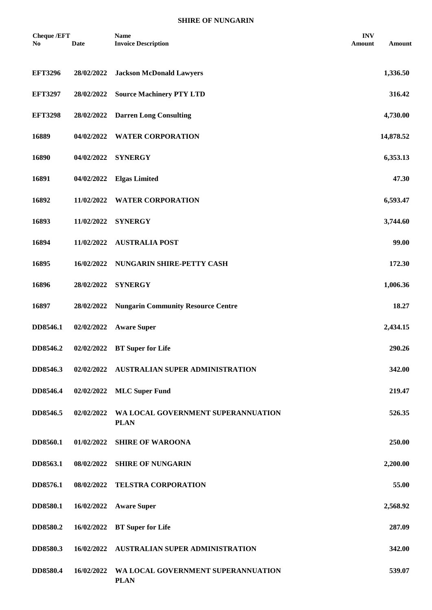| <b>Cheque /EFT</b><br>No. | <b>Date</b> | <b>Name</b><br><b>Invoice Description</b>         | <b>INV</b><br>Amount | Amount    |
|---------------------------|-------------|---------------------------------------------------|----------------------|-----------|
| <b>EFT3296</b>            | 28/02/2022  | <b>Jackson McDonald Lawyers</b>                   |                      | 1,336.50  |
| <b>EFT3297</b>            | 28/02/2022  | <b>Source Machinery PTY LTD</b>                   |                      | 316.42    |
| <b>EFT3298</b>            | 28/02/2022  | <b>Darren Long Consulting</b>                     |                      | 4,730.00  |
| 16889                     | 04/02/2022  | <b>WATER CORPORATION</b>                          |                      | 14,878.52 |
| 16890                     | 04/02/2022  | <b>SYNERGY</b>                                    |                      | 6,353.13  |
| 16891                     | 04/02/2022  | <b>Elgas Limited</b>                              |                      | 47.30     |
| 16892                     | 11/02/2022  | <b>WATER CORPORATION</b>                          |                      | 6,593.47  |
| 16893                     | 11/02/2022  | <b>SYNERGY</b>                                    |                      | 3,744.60  |
| 16894                     | 11/02/2022  | <b>AUSTRALIA POST</b>                             |                      | 99.00     |
| 16895                     | 16/02/2022  | NUNGARIN SHIRE-PETTY CASH                         |                      | 172.30    |
| 16896                     | 28/02/2022  | <b>SYNERGY</b>                                    |                      | 1,006.36  |
| 16897                     | 28/02/2022  | <b>Nungarin Community Resource Centre</b>         |                      | 18.27     |
| DD8546.1                  | 02/02/2022  | <b>Aware Super</b>                                |                      | 2,434.15  |
| DD8546.2                  | 02/02/2022  | <b>BT</b> Super for Life                          |                      | 290.26    |
| DD8546.3                  | 02/02/2022  | AUSTRALIAN SUPER ADMINISTRATION                   |                      | 342.00    |
| DD8546.4                  | 02/02/2022  | <b>MLC</b> Super Fund                             |                      | 219.47    |
| DD8546.5                  | 02/02/2022  | WA LOCAL GOVERNMENT SUPERANNUATION<br><b>PLAN</b> |                      | 526.35    |
| DD8560.1                  | 01/02/2022  | <b>SHIRE OF WAROONA</b>                           |                      | 250.00    |
| DD8563.1                  | 08/02/2022  | <b>SHIRE OF NUNGARIN</b>                          |                      | 2,200.00  |
| DD8576.1                  | 08/02/2022  | <b>TELSTRA CORPORATION</b>                        |                      | 55.00     |
| DD8580.1                  | 16/02/2022  | <b>Aware Super</b>                                |                      | 2,568.92  |
| DD8580.2                  | 16/02/2022  | <b>BT</b> Super for Life                          |                      | 287.09    |
| DD8580.3                  | 16/02/2022  | <b>AUSTRALIAN SUPER ADMINISTRATION</b>            |                      | 342.00    |
| DD8580.4                  | 16/02/2022  | WA LOCAL GOVERNMENT SUPERANNUATION<br><b>PLAN</b> |                      | 539.07    |